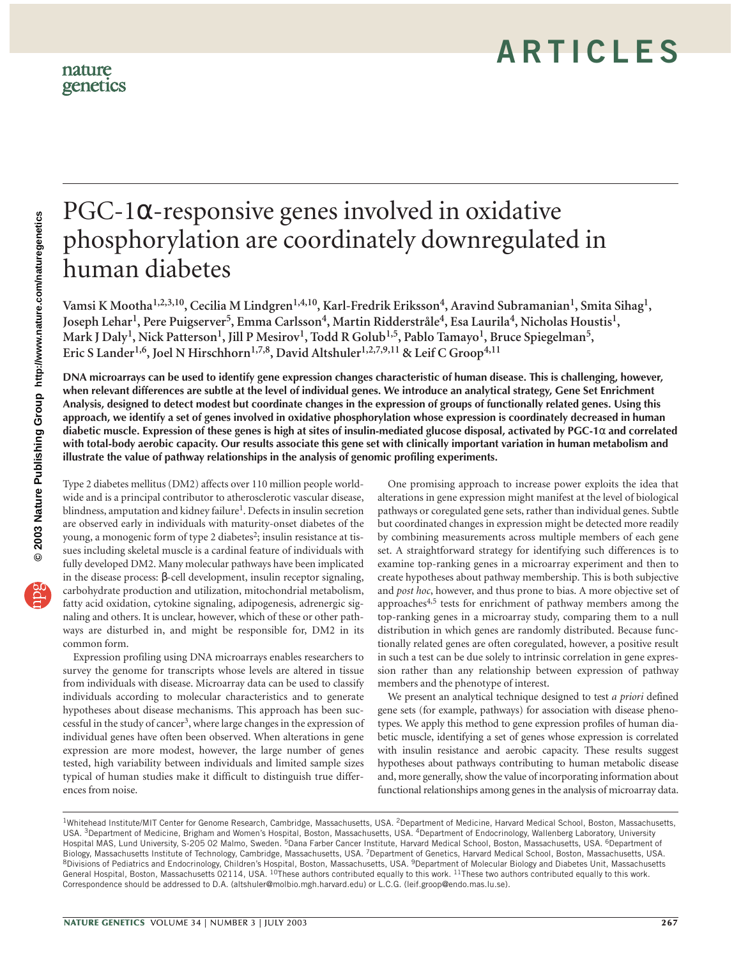# PGC-1α-responsive genes involved in oxidative phosphorylation are coordinately downregulated in human diabetes

Vamsi K Mootha<sup>1,2,3,10</sup>, Cecilia M Lindgren<sup>1,4,10</sup>, Karl-Fredrik Eriksson<sup>4</sup>, Aravind Subramanian<sup>1</sup>, Smita Sihag<sup>1</sup>, Joseph Lehar<sup>1</sup>, Pere Puigserver<sup>5</sup>, Emma Carlsson<sup>4</sup>, Martin Ridderstråle<sup>4</sup>, Esa Laurila<sup>4</sup>, Nicholas Houstis<sup>1</sup>, Mark J Daly<sup>1</sup>, Nick Patterson<sup>1</sup>, Jill P Mesirov<sup>1</sup>, Todd R Golub<sup>1,5</sup>, Pablo Tamayo<sup>1</sup>, Bruce Spiegelman<sup>5</sup>, Eric S Lander<sup>1,6</sup>, Joel N Hirschhorn<sup>1,7,8</sup>, David Altshuler<sup>1,2,7,9,11</sup> & Leif C Groop<sup>4,11</sup>

**DNA microarrays can be used to identify gene expression changes characteristic of human disease. This is challenging, however, when relevant differences are subtle at the level of individual genes. We introduce an analytical strategy, Gene Set Enrichment Analysis, designed to detect modest but coordinate changes in the expression of groups of functionally related genes. Using this approach, we identify a set of genes involved in oxidative phosphorylation whose expression is coordinately decreased in human diabetic muscle. Expression of these genes is high at sites of insulin-mediated glucose disposal, activated by PGC-1**α **and correlated with total-body aerobic capacity. Our results associate this gene set with clinically important variation in human metabolism and illustrate the value of pathway relationships in the analysis of genomic profiling experiments.**

Type 2 diabetes mellitus (DM2) affects over 110 million people worldwide and is a principal contributor to atherosclerotic vascular disease, blindness, amputation and kidney failure<sup>1</sup>. Defects in insulin secretion are observed early in individuals with maturity-onset diabetes of the young, a monogenic form of type 2 diabetes<sup>2</sup>; insulin resistance at tissues including skeletal muscle is a cardinal feature of individuals with fully developed DM2. Many molecular pathways have been implicated in the disease process: β-cell development, insulin receptor signaling, carbohydrate production and utilization, mitochondrial metabolism, fatty acid oxidation, cytokine signaling, adipogenesis, adrenergic signaling and others. It is unclear, however, which of these or other pathways are disturbed in, and might be responsible for, DM2 in its common form.

Expression profiling using DNA microarrays enables researchers to survey the genome for transcripts whose levels are altered in tissue from individuals with disease. Microarray data can be used to classify individuals according to molecular characteristics and to generate hypotheses about disease mechanisms. This approach has been successful in the study of cancer<sup>3</sup>, where large changes in the expression of individual genes have often been observed. When alterations in gene expression are more modest, however, the large number of genes tested, high variability between individuals and limited sample sizes typical of human studies make it difficult to distinguish true differences from noise.

One promising approach to increase power exploits the idea that alterations in gene expression might manifest at the level of biological pathways or coregulated gene sets, rather than individual genes. Subtle but coordinated changes in expression might be detected more readily by combining measurements across multiple members of each gene set. A straightforward strategy for identifying such differences is to examine top-ranking genes in a microarray experiment and then to create hypotheses about pathway membership. This is both subjective and *post hoc*, however, and thus prone to bias. A more objective set of approaches<sup>4,5</sup> tests for enrichment of pathway members among the top-ranking genes in a microarray study, comparing them to a null distribution in which genes are randomly distributed. Because functionally related genes are often coregulated, however, a positive result in such a test can be due solely to intrinsic correlation in gene expression rather than any relationship between expression of pathway members and the phenotype of interest.

We present an analytical technique designed to test *a priori* defined gene sets (for example, pathways) for association with disease phenotypes. We apply this method to gene expression profiles of human diabetic muscle, identifying a set of genes whose expression is correlated with insulin resistance and aerobic capacity. These results suggest hypotheses about pathways contributing to human metabolic disease and, more generally, show the value of incorporating information about functional relationships among genes in the analysis of microarray data.

<sup>&</sup>lt;sup>1</sup>Whitehead Institute/MIT Center for Genome Research, Cambridge, Massachusetts, USA. <sup>2</sup>Department of Medicine, Harvard Medical School, Boston, Massachusetts, USA. <sup>3</sup>Department of Medicine, Brigham and Women's Hospital, Boston, Massachusetts, USA. <sup>4</sup>Department of Endocrinology, Wallenberg Laboratory, University Hospital MAS, Lund University, S-205 02 Malmo, Sweden. <sup>5</sup>Dana Farber Cancer Institute, Harvard Medical School, Boston, Massachusetts, USA. <sup>6</sup>Department of Biology, Massachusetts Institute of Technology, Cambridge, Massachusetts, USA. 7Department of Genetics, Harvard Medical School, Boston, Massachusetts, USA. 8Divisions of Pediatrics and Endocrinology, Children's Hospital, Boston, Massachusetts, USA. <sup>9</sup>Department of Molecular Biology and Diabetes Unit, Massachusetts General Hospital, Boston, Massachusetts 02114, USA. <sup>10</sup>These authors contributed equally to this work. <sup>11</sup>These two authors contributed equally to this work. Correspondence should be addressed to D.A. (altshuler@molbio.mgh.harvard.edu) or L.C.G. (leif.groop@endo.mas.lu.se).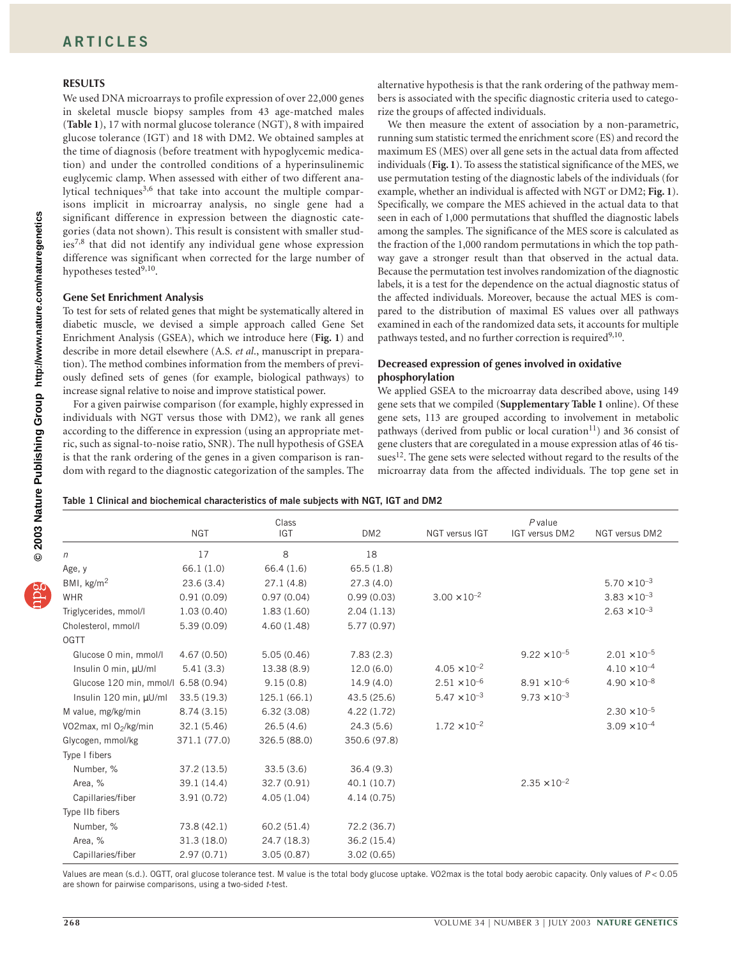## **RESULTS**

We used DNA microarrays to profile expression of over 22,000 genes in skeletal muscle biopsy samples from 43 age-matched males (**Table 1**), 17 with normal glucose tolerance (NGT), 8 with impaired glucose tolerance (IGT) and 18 with DM2. We obtained samples at the time of diagnosis (before treatment with hypoglycemic medication) and under the controlled conditions of a hyperinsulinemic euglycemic clamp. When assessed with either of two different analytical techniques<sup>3,6</sup> that take into account the multiple comparisons implicit in microarray analysis, no single gene had a significant difference in expression between the diagnostic categories (data not shown). This result is consistent with smaller studies7,8 that did not identify any individual gene whose expression difference was significant when corrected for the large number of hypotheses tested $9,10$ .

## **Gene Set Enrichment Analysis**

To test for sets of related genes that might be systematically altered in diabetic muscle, we devised a simple approach called Gene Set Enrichment Analysis (GSEA), which we introduce here (**Fig. 1**) and describe in more detail elsewhere (A.S. *et al*., manuscript in preparation). The method combines information from the members of previously defined sets of genes (for example, biological pathways) to increase signal relative to noise and improve statistical power.

For a given pairwise comparison (for example, highly expressed in individuals with NGT versus those with DM2), we rank all genes according to the difference in expression (using an appropriate metric, such as signal-to-noise ratio, SNR). The null hypothesis of GSEA is that the rank ordering of the genes in a given comparison is random with regard to the diagnostic categorization of the samples. The

alternative hypothesis is that the rank ordering of the pathway members is associated with the specific diagnostic criteria used to categorize the groups of affected individuals.

We then measure the extent of association by a non-parametric, running sum statistic termed the enrichment score (ES) and record the maximum ES (MES) over all gene sets in the actual data from affected individuals (**Fig. 1**). To assess the statistical significance of the MES, we use permutation testing of the diagnostic labels of the individuals (for example, whether an individual is affected with NGT or DM2; **Fig. 1**). Specifically, we compare the MES achieved in the actual data to that seen in each of 1,000 permutations that shuffled the diagnostic labels among the samples. The significance of the MES score is calculated as the fraction of the 1,000 random permutations in which the top pathway gave a stronger result than that observed in the actual data. Because the permutation test involves randomization of the diagnostic labels, it is a test for the dependence on the actual diagnostic status of the affected individuals. Moreover, because the actual MES is compared to the distribution of maximal ES values over all pathways examined in each of the randomized data sets, it accounts for multiple pathways tested, and no further correction is required<sup>9,10</sup>.

# **Decreased expression of genes involved in oxidative phosphorylation**

We applied GSEA to the microarray data described above, using 149 gene sets that we compiled (**Supplementary Table 1** online). Of these gene sets, 113 are grouped according to involvement in metabolic pathways (derived from public or local curation<sup>11</sup>) and 36 consist of gene clusters that are coregulated in a mouse expression atlas of 46 tissues<sup>12</sup>. The gene sets were selected without regard to the results of the microarray data from the affected individuals. The top gene set in

**Table 1 Clinical and biochemical characteristics of male subjects with NGT, IGT and DM2**

|                                     | Class        |              |                 | $P$ value             |                       |                       |
|-------------------------------------|--------------|--------------|-----------------|-----------------------|-----------------------|-----------------------|
|                                     | <b>NGT</b>   | IGT          | DM <sub>2</sub> | NGT versus IGT        | IGT versus DM2        | NGT versus DM2        |
| $\eta$                              | 17           | 8            | 18              |                       |                       |                       |
| Age, y                              | 66.1 (1.0)   | 66.4(1.6)    | 65.5(1.8)       |                       |                       |                       |
| BMI, $\text{kg/m}^2$                | 23.6(3.4)    | 27.1(4.8)    | 27.3(4.0)       |                       |                       | $5.70 \times 10^{-3}$ |
| WHR                                 | 0.91(0.09)   | 0.97(0.04)   | 0.99(0.03)      | $3.00 \times 10^{-2}$ |                       | $3.83 \times 10^{-3}$ |
| Triglycerides, mmol/l               | 1.03(0.40)   | 1.83(1.60)   | 2.04(1.13)      |                       |                       | $2.63 \times 10^{-3}$ |
| Cholesterol, mmol/l                 | 5.39(0.09)   | 4.60(1.48)   | 5.77(0.97)      |                       |                       |                       |
| <b>OGTT</b>                         |              |              |                 |                       |                       |                       |
| Glucose 0 min, mmol/l               | 4.67(0.50)   | 5.05(0.46)   | 7.83(2.3)       |                       | $9.22 \times 10^{-5}$ | $2.01 \times 10^{-5}$ |
| Insulin 0 min, µU/ml                | 5.41(3.3)    | 13.38 (8.9)  | 12.0(6.0)       | $4.05 \times 10^{-2}$ |                       | $4.10 \times 10^{-4}$ |
| Glucose 120 min, mmol/l 6.58 (0.94) |              | 9.15(0.8)    | 14.9 (4.0)      | $2.51 \times 10^{-6}$ | $8.91 \times 10^{-6}$ | $4.90 \times 10^{-8}$ |
| Insulin 120 min, µU/ml              | 33.5(19.3)   | 125.1 (66.1) | 43.5 (25.6)     | $5.47 \times 10^{-3}$ | $9.73 \times 10^{-3}$ |                       |
| M value, mg/kg/min                  | 8.74(3.15)   | 6.32(3.08)   | 4.22 (1.72)     |                       |                       | $2.30 \times 10^{-5}$ |
| VO2max, ml O <sub>2</sub> /kg/min   | 32.1(5.46)   | 26.5(4.6)    | 24.3(5.6)       | $1.72 \times 10^{-2}$ |                       | $3.09 \times 10^{-4}$ |
| Glycogen, mmol/kg                   | 371.1 (77.0) | 326.5 (88.0) | 350.6 (97.8)    |                       |                       |                       |
| Type I fibers                       |              |              |                 |                       |                       |                       |
| Number, %                           | 37.2(13.5)   | 33.5(3.6)    | 36.4(9.3)       |                       |                       |                       |
| Area, %                             | 39.1 (14.4)  | 32.7 (0.91)  | 40.1 (10.7)     |                       | $2.35 \times 10^{-2}$ |                       |
| Capillaries/fiber                   | 3.91(0.72)   | 4.05(1.04)   | 4.14(0.75)      |                       |                       |                       |
| Type IIb fibers                     |              |              |                 |                       |                       |                       |
| Number, %                           | 73.8 (42.1)  | 60.2(51.4)   | 72.2 (36.7)     |                       |                       |                       |
| Area, %                             | 31.3(18.0)   | 24.7 (18.3)  | 36.2(15.4)      |                       |                       |                       |
| Capillaries/fiber                   | 2.97(0.71)   | 3.05(0.87)   | 3.02(0.65)      |                       |                       |                       |

Values are mean (s.d.). OGTT, oral glucose tolerance test. M value is the total body glucose uptake. VO2max is the total body aerobic capacity. Only values of *P* < 0.05 are shown for pairwise comparisons, using a two-sided *t*-test.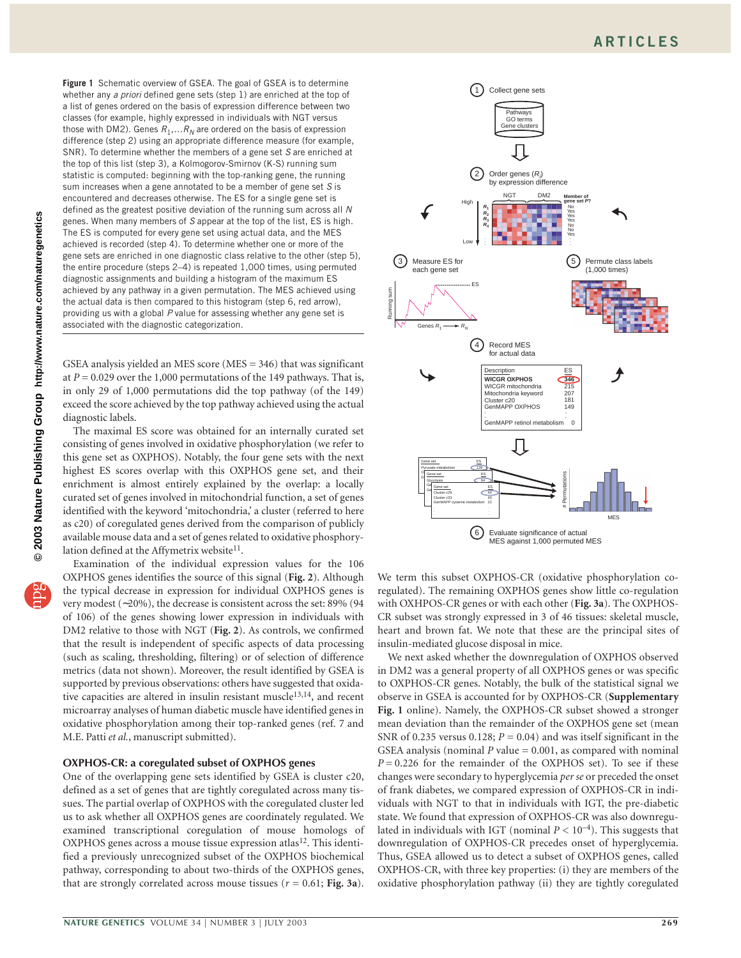**Figure 1** Schematic overview of GSEA. The goal of GSEA is to determine whether any *a priori* defined gene sets (step 1) are enriched at the top of a list of genes ordered on the basis of expression difference between two classes (for example, highly expressed in individuals with NGT versus those with DM2). Genes  $R_1,...R_N$  are ordered on the basis of expression difference (step 2) using an appropriate difference measure (for example, SNR). To determine whether the members of a gene set *S* are enriched at the top of this list (step 3), a Kolmogorov-Smirnov (K-S) running sum statistic is computed: beginning with the top-ranking gene, the running sum increases when a gene annotated to be a member of gene set *S* is encountered and decreases otherwise. The ES for a single gene set is defined as the greatest positive deviation of the running sum across all *N* genes. When many members of *S* appear at the top of the list, ES is high. The ES is computed for every gene set using actual data, and the MES achieved is recorded (step 4). To determine whether one or more of the gene sets are enriched in one diagnostic class relative to the other (step 5), the entire procedure (steps 2–4) is repeated 1,000 times, using permuted diagnostic assignments and building a histogram of the maximum ES achieved by any pathway in a given permutation. The MES achieved using the actual data is then compared to this histogram (step 6, red arrow), providing us with a global *P* value for assessing whether any gene set is associated with the diagnostic categorization.

GSEA analysis yielded an MES score (MES = 346) that was significant at  $P = 0.029$  over the 1,000 permutations of the 149 pathways. That is, in only 29 of 1,000 permutations did the top pathway (of the 149) exceed the score achieved by the top pathway achieved using the actual diagnostic labels.

The maximal ES score was obtained for an internally curated set consisting of genes involved in oxidative phosphorylation (we refer to this gene set as OXPHOS). Notably, the four gene sets with the next highest ES scores overlap with this OXPHOS gene set, and their enrichment is almost entirely explained by the overlap: a locally curated set of genes involved in mitochondrial function, a set of genes identified with the keyword 'mitochondria,' a cluster (referred to here as c20) of coregulated genes derived from the comparison of publicly available mouse data and a set of genes related to oxidative phosphorylation defined at the Affymetrix website<sup>11</sup>.

Examination of the individual expression values for the 106 OXPHOS genes identifies the source of this signal (**Fig. 2**). Although the typical decrease in expression for individual OXPHOS genes is very modest (∼20%), the decrease is consistent across the set: 89% (94 of 106) of the genes showing lower expression in individuals with DM2 relative to those with NGT (**Fig. 2**). As controls, we confirmed that the result is independent of specific aspects of data processing (such as scaling, thresholding, filtering) or of selection of difference metrics (data not shown). Moreover, the result identified by GSEA is supported by previous observations: others have suggested that oxidative capacities are altered in insulin resistant muscle $13,14$ , and recent microarray analyses of human diabetic muscle have identified genes in oxidative phosphorylation among their top-ranked genes (ref. 7 and M.E. Patti *et al.*, manuscript submitted).

## **OXPHOS-CR: a coregulated subset of OXPHOS genes**

One of the overlapping gene sets identified by GSEA is cluster c20, defined as a set of genes that are tightly coregulated across many tissues. The partial overlap of OXPHOS with the coregulated cluster led us to ask whether all OXPHOS genes are coordinately regulated. We examined transcriptional coregulation of mouse homologs of  $OXPHOS$  genes across a mouse tissue expression atlas<sup>12</sup>. This identified a previously unrecognized subset of the OXPHOS biochemical pathway, corresponding to about two-thirds of the OXPHOS genes, that are strongly correlated across mouse tissues  $(r = 0.61; Fig. 3a)$ .



We term this subset OXPHOS-CR (oxidative phosphorylation coregulated). The remaining OXPHOS genes show little co-regulation with OXHPOS-CR genes or with each other (**Fig. 3a**). The OXPHOS-CR subset was strongly expressed in 3 of 46 tissues: skeletal muscle, heart and brown fat. We note that these are the principal sites of insulin-mediated glucose disposal in mice.

We next asked whether the downregulation of OXPHOS observed in DM2 was a general property of all OXPHOS genes or was specific to OXPHOS-CR genes. Notably, the bulk of the statistical signal we observe in GSEA is accounted for by OXPHOS-CR (**Supplementary Fig. 1** online). Namely, the OXPHOS-CR subset showed a stronger mean deviation than the remainder of the OXPHOS gene set (mean SNR of 0.235 versus 0.128;  $P = 0.04$ ) and was itself significant in the GSEA analysis (nominal  $P$  value  $= 0.001$ , as compared with nominal  $P = 0.226$  for the remainder of the OXPHOS set). To see if these changes were secondary to hyperglycemia *per se* or preceded the onset of frank diabetes, we compared expression of OXPHOS-CR in individuals with NGT to that in individuals with IGT, the pre-diabetic state. We found that expression of OXPHOS-CR was also downregulated in individuals with IGT (nominal  $P < 10^{-4}$ ). This suggests that downregulation of OXPHOS-CR precedes onset of hyperglycemia. Thus, GSEA allowed us to detect a subset of OXPHOS genes, called OXPHOS-CR, with three key properties: (i) they are members of the oxidative phosphorylation pathway (ii) they are tightly coregulated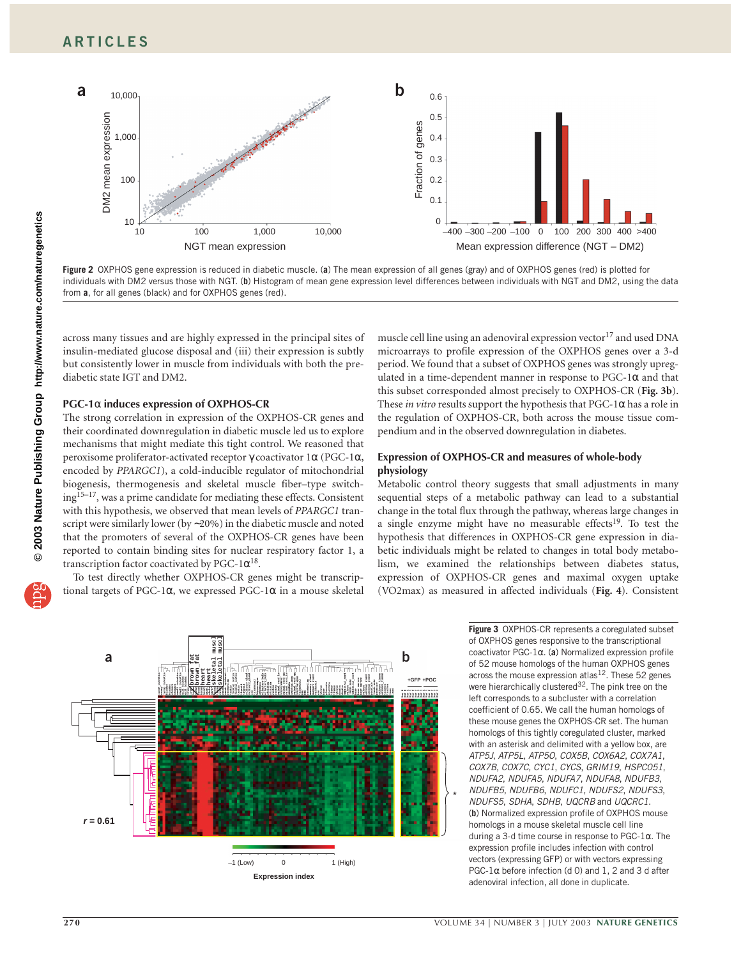



across many tissues and are highly expressed in the principal sites of insulin-mediated glucose disposal and (iii) their expression is subtly but consistently lower in muscle from individuals with both the prediabetic state IGT and DM2.

# **PGC-1**α **induces expression of OXPHOS-CR**

The strong correlation in expression of the OXPHOS-CR genes and their coordinated downregulation in diabetic muscle led us to explore mechanisms that might mediate this tight control. We reasoned that peroxisome proliferator-activated receptor γ coactivator 1α (PGC-1α, encoded by *PPARGC1*), a cold-inducible regulator of mitochondrial biogenesis, thermogenesis and skeletal muscle fiber–type switching15–17, was a prime candidate for mediating these effects. Consistent with this hypothesis, we observed that mean levels of *PPARGC1* transcript were similarly lower (by ∼20%) in the diabetic muscle and noted that the promoters of several of the OXPHOS-CR genes have been reported to contain binding sites for nuclear respiratory factor 1, a transcription factor coactivated by PGC-1 $\alpha^{18}$ .

To test directly whether OXPHOS-CR genes might be transcriptional targets of PGC-1 $\alpha$ , we expressed PGC-1 $\alpha$  in a mouse skeletal muscle cell line using an adenoviral expression vector<sup>17</sup> and used DNA microarrays to profile expression of the OXPHOS genes over a 3-d period. We found that a subset of OXPHOS genes was strongly upregulated in a time-dependent manner in response to PGC-1α and that this subset corresponded almost precisely to OXPHOS-CR (**Fig. 3b**). These *in vitro* results support the hypothesis that  $PGC-1\alpha$  has a role in the regulation of OXPHOS-CR, both across the mouse tissue compendium and in the observed downregulation in diabetes.

# **Expression of OXPHOS-CR and measures of whole-body physiology**

\*

Metabolic control theory suggests that small adjustments in many sequential steps of a metabolic pathway can lead to a substantial change in the total flux through the pathway, whereas large changes in a single enzyme might have no measurable effects<sup>19</sup>. To test the hypothesis that differences in OXPHOS-CR gene expression in diabetic individuals might be related to changes in total body metabolism, we examined the relationships between diabetes status, expression of OXPHOS-CR genes and maximal oxygen uptake (VO2max) as measured in affected individuals (**Fig. 4**). Consistent



**Figure 3** OXPHOS-CR represents a coregulated subset of OXPHOS genes responsive to the transcriptional coactivator PGC-1α. (**a**) Normalized expression profile of 52 mouse homologs of the human OXPHOS genes across the mouse expression atlas<sup>12</sup>. These 52 genes were hierarchically clustered<sup>32</sup>. The pink tree on the left corresponds to a subcluster with a correlation coefficient of 0.65. We call the human homologs of these mouse genes the OXPHOS-CR set. The human homologs of this tightly coregulated cluster, marked with an asterisk and delimited with a yellow box, are *ATP5J*, *ATP5L*, *ATP5O*, *COX5B*, *COX6A2*, *COX7A1*, *COX7B*, *COX7C*, *CYC1*, *CYCS*, *GRIM19*, *HSPC051*, *NDUFA2*, *NDUFA5*, *NDUFA7*, *NDUFA8*, *NDUFB3*, *NDUFB5*, *NDUFB6*, *NDUFC1*, *NDUFS2*, *NDUFS3*, *NDUFS5*, *SDHA*, *SDHB*, *UQCRB* and *UQCRC1*. (**b**) Normalized expression profile of OXPHOS mouse homologs in a mouse skeletal muscle cell line during a 3-d time course in response to PGC-1α. The expression profile includes infection with control vectors (expressing GFP) or with vectors expressing PGC-1 $\alpha$  before infection (d 0) and 1, 2 and 3 d after adenoviral infection, all done in duplicate.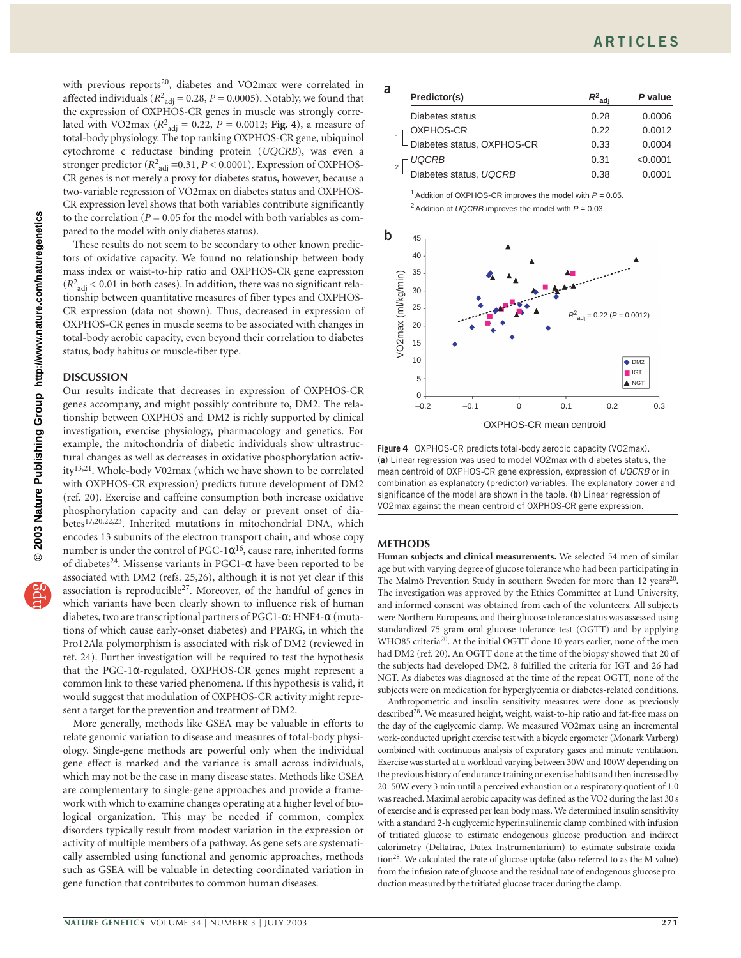with previous reports<sup>20</sup>, diabetes and VO2max were correlated in affected individuals ( $R^2$ <sub>adj</sub> = 0.28, *P* = 0.0005). Notably, we found that the expression of OXPHOS-CR genes in muscle was strongly correlated with VO2max ( $R^2_{\text{adj}} = 0.22$ ,  $P = 0.0012$ ; Fig. 4), a measure of total-body physiology. The top ranking OXPHOS-CR gene, ubiquinol cytochrome c reductase binding protein (*UQCRB*), was even a stronger predictor  $(R^2_{\text{adj}} = 0.31, P < 0.0001)$ . Expression of OXPHOS-CR genes is not merely a proxy for diabetes status, however, because a two-variable regression of VO2max on diabetes status and OXPHOS-CR expression level shows that both variables contribute significantly to the correlation ( $P = 0.05$  for the model with both variables as compared to the model with only diabetes status).

These results do not seem to be secondary to other known predictors of oxidative capacity. We found no relationship between body mass index or waist-to-hip ratio and OXPHOS-CR gene expression  $(R^2_{\text{adj}} < 0.01$  in both cases). In addition, there was no significant relationship between quantitative measures of fiber types and OXPHOS-CR expression (data not shown). Thus, decreased in expression of OXPHOS-CR genes in muscle seems to be associated with changes in total-body aerobic capacity, even beyond their correlation to diabetes status, body habitus or muscle-fiber type.

## **DISCUSSION**

Our results indicate that decreases in expression of OXPHOS-CR genes accompany, and might possibly contribute to, DM2. The relationship between OXPHOS and DM2 is richly supported by clinical investigation, exercise physiology, pharmacology and genetics. For example, the mitochondria of diabetic individuals show ultrastructural changes as well as decreases in oxidative phosphorylation activity13,21. Whole-body V02max (which we have shown to be correlated with OXPHOS-CR expression) predicts future development of DM2 (ref. 20). Exercise and caffeine consumption both increase oxidative phosphorylation capacity and can delay or prevent onset of diabetes17,20,22,23. Inherited mutations in mitochondrial DNA, which encodes 13 subunits of the electron transport chain, and whose copy number is under the control of PGC-1 $\alpha^{16}$ , cause rare, inherited forms of diabetes<sup>24</sup>. Missense variants in PGC1- $\alpha$  have been reported to be associated with DM2 (refs. 25,26), although it is not yet clear if this association is reproducible<sup>27</sup>. Moreover, of the handful of genes in which variants have been clearly shown to influence risk of human diabetes, two are transcriptional partners of PGC1-α: HNF4-α (mutations of which cause early-onset diabetes) and PPARG, in which the Pro12Ala polymorphism is associated with risk of DM2 (reviewed in ref. 24). Further investigation will be required to test the hypothesis that the PGC-1α-regulated, OXPHOS-CR genes might represent a common link to these varied phenomena. If this hypothesis is valid, it would suggest that modulation of OXPHOS-CR activity might represent a target for the prevention and treatment of DM2.

More generally, methods like GSEA may be valuable in efforts to relate genomic variation to disease and measures of total-body physiology. Single-gene methods are powerful only when the individual gene effect is marked and the variance is small across individuals, which may not be the case in many disease states. Methods like GSEA are complementary to single-gene approaches and provide a framework with which to examine changes operating at a higher level of biological organization. This may be needed if common, complex disorders typically result from modest variation in the expression or activity of multiple members of a pathway. As gene sets are systematically assembled using functional and genomic approaches, methods such as GSEA will be valuable in detecting coordinated variation in gene function that contributes to common human diseases.

| $R^2$ <sub>adi</sub> | P value  |
|----------------------|----------|
| 0.28                 | 0.0006   |
| 0.22                 | 0.0012   |
| 0.33                 | 0.0004   |
| 0.31                 | < 0.0001 |
| 0.38                 | 0.0001   |
|                      |          |

<sup>1</sup> Addition of OXPHOS-CR improves the model with  $P = 0.05$ . <sup>2</sup> Addition of UQCRB improves the model with  $P = 0.03$ .



**Figure 4** OXPHOS-CR predicts total-body aerobic capacity (VO2max). (**a**) Linear regression was used to model VO2max with diabetes status, the mean centroid of OXPHOS-CR gene expression, expression of *UQCRB* or in combination as explanatory (predictor) variables. The explanatory power and significance of the model are shown in the table. (**b**) Linear regression of VO2max against the mean centroid of OXPHOS-CR gene expression.

# **METHODS**

**Human subjects and clinical measurements.** We selected 54 men of similar age but with varying degree of glucose tolerance who had been participating in The Malmö Prevention Study in southern Sweden for more than 12 years<sup>20</sup>. The investigation was approved by the Ethics Committee at Lund University, and informed consent was obtained from each of the volunteers. All subjects were Northern Europeans, and their glucose tolerance status was assessed using standardized 75-gram oral glucose tolerance test (OGTT) and by applying WHO85 criteria<sup>20</sup>. At the initial OGTT done 10 years earlier, none of the men had DM2 (ref. 20). An OGTT done at the time of the biopsy showed that 20 of the subjects had developed DM2, 8 fulfilled the criteria for IGT and 26 had NGT. As diabetes was diagnosed at the time of the repeat OGTT, none of the subjects were on medication for hyperglycemia or diabetes-related conditions.

Anthropometric and insulin sensitivity measures were done as previously described<sup>28</sup>. We measured height, weight, waist-to-hip ratio and fat-free mass on the day of the euglycemic clamp. We measured VO2max using an incremental work-conducted upright exercise test with a bicycle ergometer (Monark Varberg) combined with continuous analysis of expiratory gases and minute ventilation. Exercise was started at a workload varying between 30W and 100W depending on the previous history of endurance training or exercise habits and then increased by 20–50W every 3 min until a perceived exhaustion or a respiratory quotient of 1.0 was reached. Maximal aerobic capacity was defined as the VO2 during the last 30 s of exercise and is expressed per lean body mass. We determined insulin sensitivity with a standard 2-h euglycemic hyperinsulinemic clamp combined with infusion of tritiated glucose to estimate endogenous glucose production and indirect calorimetry (Deltatrac, Datex Instrumentarium) to estimate substrate oxidation<sup>28</sup>. We calculated the rate of glucose uptake (also referred to as the M value) from the infusion rate of glucose and the residual rate of endogenous glucose production measured by the tritiated glucose tracer during the clamp.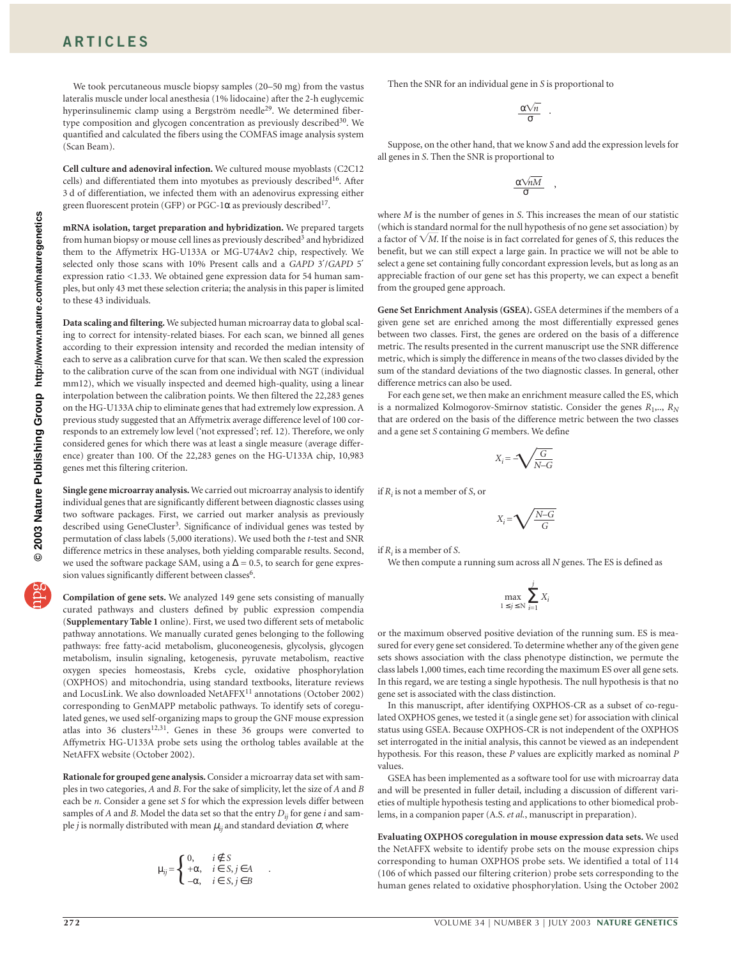We took percutaneous muscle biopsy samples (20–50 mg) from the vastus lateralis muscle under local anesthesia (1% lidocaine) after the 2-h euglycemic hyperinsulinemic clamp using a Bergström needle<sup>29</sup>. We determined fibertype composition and glycogen concentration as previously described<sup>30</sup>. We quantified and calculated the fibers using the COMFAS image analysis system (Scan Beam).

**Cell culture and adenoviral infection.** We cultured mouse myoblasts (C2C12 cells) and differentiated them into myotubes as previously described<sup>16</sup>. After 3 d of differentiation, we infected them with an adenovirus expressing either green fluorescent protein (GFP) or PGC-1 $\alpha$  as previously described<sup>17</sup>.

**mRNA isolation, target preparation and hybridization.** We prepared targets from human biopsy or mouse cell lines as previously described<sup>3</sup> and hybridized them to the Affymetrix HG-U133A or MG-U74Av2 chip, respectively. We selected only those scans with 10% Present calls and a *GAPD* 3′/*GAPD* 5′ expression ratio <1.33. We obtained gene expression data for 54 human samples, but only 43 met these selection criteria; the analysis in this paper is limited to these 43 individuals.

**Data scaling and filtering.** We subjected human microarray data to global scaling to correct for intensity-related biases. For each scan, we binned all genes according to their expression intensity and recorded the median intensity of each to serve as a calibration curve for that scan. We then scaled the expression to the calibration curve of the scan from one individual with NGT (individual mm12), which we visually inspected and deemed high-quality, using a linear interpolation between the calibration points. We then filtered the 22,283 genes on the HG-U133A chip to eliminate genes that had extremely low expression. A previous study suggested that an Affymetrix average difference level of 100 corresponds to an extremely low level ('not expressed'; ref. 12). Therefore, we only considered genes for which there was at least a single measure (average difference) greater than 100. Of the 22,283 genes on the HG-U133A chip, 10,983 genes met this filtering criterion.

**Single gene microarray analysis.** We carried out microarray analysis to identify individual genes that are significantly different between diagnostic classes using two software packages. First, we carried out marker analysis as previously described using GeneCluster<sup>3</sup>. Significance of individual genes was tested by permutation of class labels (5,000 iterations). We used both the *t*-test and SNR difference metrics in these analyses, both yielding comparable results. Second, we used the software package SAM, using a  $\Delta = 0.5$ , to search for gene expression values significantly different between classes<sup>6</sup>.

**Compilation of gene sets.** We analyzed 149 gene sets consisting of manually curated pathways and clusters defined by public expression compendia (**Supplementary Table 1** online). First, we used two different sets of metabolic pathway annotations. We manually curated genes belonging to the following pathways: free fatty-acid metabolism, gluconeogenesis, glycolysis, glycogen metabolism, insulin signaling, ketogenesis, pyruvate metabolism, reactive oxygen species homeostasis, Krebs cycle, oxidative phosphorylation (OXPHOS) and mitochondria, using standard textbooks, literature reviews and LocusLink. We also downloaded NetAFFX<sup>11</sup> annotations (October 2002) corresponding to GenMAPP metabolic pathways. To identify sets of coregulated genes, we used self-organizing maps to group the GNF mouse expression atlas into 36 clusters<sup>12,31</sup>. Genes in these 36 groups were converted to Affymetrix HG-U133A probe sets using the ortholog tables available at the NetAFFX website (October 2002).

**Rationale for grouped gene analysis.** Consider a microarray data set with samples in two categories, *A* and *B*. For the sake of simplicity, let the size of *A* and *B* each be *n*. Consider a gene set *S* for which the expression levels differ between samples of *A* and *B*. Model the data set so that the entry  $D_{ii}$  for gene *i* and sample *j* is normally distributed with mean  $μ$ <sub>*ii*</sub> and standard deviation  $σ$ , where

$$
\mu_{ij} = \begin{cases} 0, & i \notin S \\ +\alpha, & i \in S, j \in A \\ -\alpha, & i \in S, j \in B \end{cases}.
$$

Then the SNR for an individual gene in *S* is proportional to

$$
\frac{\alpha \sqrt{n}}{\sigma} \ .
$$

Suppose, on the other hand, that we know *S* and add the expression levels for all genes in *S*. Then the SNR is proportional to

$$
\frac{\alpha \sqrt{nM}}{\sigma} \quad ,
$$

where *M* is the number of genes in *S*. This increases the mean of our statistic (which is standard normal for the null hypothesis of no gene set association) by a factor of  $\sqrt{M}$ . If the noise is in fact correlated for genes of *S*, this reduces the benefit, but we can still expect a large gain. In practice we will not be able to select a gene set containing fully concordant expression levels, but as long as an appreciable fraction of our gene set has this property, we can expect a benefit from the grouped gene approach.

**Gene Set Enrichment Analysis (GSEA).** GSEA determines if the members of a given gene set are enriched among the most differentially expressed genes between two classes. First, the genes are ordered on the basis of a difference metric. The results presented in the current manuscript use the SNR difference metric, which is simply the difference in means of the two classes divided by the sum of the standard deviations of the two diagnostic classes. In general, other difference metrics can also be used.

For each gene set, we then make an enrichment measure called the ES, which is a normalized Kolmogorov-Smirnov statistic. Consider the genes  $R_1, \ldots, R_N$ that are ordered on the basis of the difference metric between the two classes and a gene set *S* containing *G* members. We define

$$
X_i\!=\!\mathcal{N}\!\sqrt{\frac{G}{N\!-\!G}}
$$

if *Ri* is not a member of *S*, or

$$
X_i\!=\!\!\sqrt{\frac{N\!\!-\!\!G}{G}}
$$

if *Ri* is a member of *S*.

We then compute a running sum across all *N* genes. The ES is defined as

$$
\max_{1 \le j \le N} \sum_{i=1}^{j} X_i
$$

or the maximum observed positive deviation of the running sum. ES is measured for every gene set considered. To determine whether any of the given gene sets shows association with the class phenotype distinction, we permute the class labels 1,000 times, each time recording the maximum ES over all gene sets. In this regard, we are testing a single hypothesis. The null hypothesis is that no gene set is associated with the class distinction.

In this manuscript, after identifying OXPHOS-CR as a subset of co-regulated OXPHOS genes, we tested it (a single gene set) for association with clinical status using GSEA. Because OXPHOS-CR is not independent of the OXPHOS set interrogated in the initial analysis, this cannot be viewed as an independent hypothesis. For this reason, these *P* values are explicitly marked as nominal *P* values.

GSEA has been implemented as a software tool for use with microarray data and will be presented in fuller detail, including a discussion of different varieties of multiple hypothesis testing and applications to other biomedical problems, in a companion paper (A.S. *et al.*, manuscript in preparation).

**Evaluating OXPHOS coregulation in mouse expression data sets.** We used the NetAFFX website to identify probe sets on the mouse expression chips corresponding to human OXPHOS probe sets. We identified a total of 114 (106 of which passed our filtering criterion) probe sets corresponding to the human genes related to oxidative phosphorylation. Using the October 2002